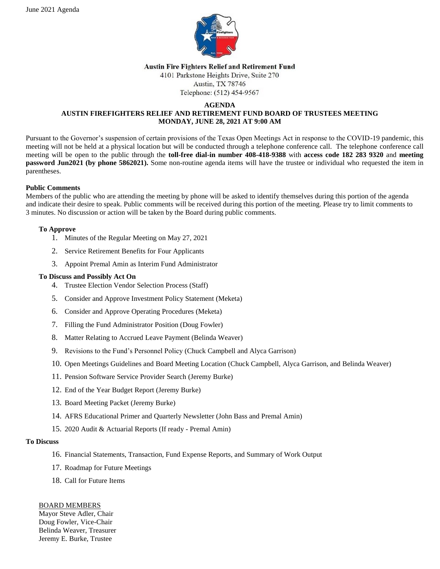

#### **Austin Fire Fighters Relief and Retirement Fund**

4101 Parkstone Heights Drive, Suite 270 Austin, TX 78746

Telephone: (512) 454-9567

#### **AGENDA**

# **AUSTIN FIREFIGHTERS RELIEF AND RETIREMENT FUND BOARD OF TRUSTEES MEETING MONDAY, JUNE 28, 2021 AT 9:00 AM**

Pursuant to the Governor's suspension of certain provisions of the Texas Open Meetings Act in response to the COVID-19 pandemic, this meeting will not be held at a physical location but will be conducted through a telephone conference call. The telephone conference call meeting will be open to the public through the **toll-free dial-in number 408-418-9388** with **access code 182 283 9320** and **meeting password Jun2021 (by phone 5862021).** Some non-routine agenda items will have the trustee or individual who requested the item in parentheses.

## **Public Comments**

Members of the public who are attending the meeting by phone will be asked to identify themselves during this portion of the agenda and indicate their desire to speak. Public comments will be received during this portion of the meeting. Please try to limit comments to 3 minutes. No discussion or action will be taken by the Board during public comments.

# **To Approve**

- 1. Minutes of the Regular Meeting on May 27, 2021
- 2. Service Retirement Benefits for Four Applicants
- 3. Appoint Premal Amin as Interim Fund Administrator

# **To Discuss and Possibly Act On**

- 4. Trustee Election Vendor Selection Process (Staff)
- 5. Consider and Approve Investment Policy Statement (Meketa)
- 6. Consider and Approve Operating Procedures (Meketa)
- 7. Filling the Fund Administrator Position (Doug Fowler)
- 8. Matter Relating to Accrued Leave Payment (Belinda Weaver)
- 9. Revisions to the Fund's Personnel Policy (Chuck Campbell and Alyca Garrison)
- 10. Open Meetings Guidelines and Board Meeting Location (Chuck Campbell, Alyca Garrison, and Belinda Weaver)
- 11. Pension Software Service Provider Search (Jeremy Burke)
- 12. End of the Year Budget Report (Jeremy Burke)
- 13. Board Meeting Packet (Jeremy Burke)
- 14. AFRS Educational Primer and Quarterly Newsletter (John Bass and Premal Amin)
- 15. 2020 Audit & Actuarial Reports (If ready Premal Amin)

## **To Discuss**

- 16. Financial Statements, Transaction, Fund Expense Reports, and Summary of Work Output
- 17. Roadmap for Future Meetings
- 18. Call for Future Items

## BOARD MEMBERS

Mayor Steve Adler, Chair Doug Fowler, Vice-Chair Belinda Weaver, Treasurer Jeremy E. Burke, Trustee